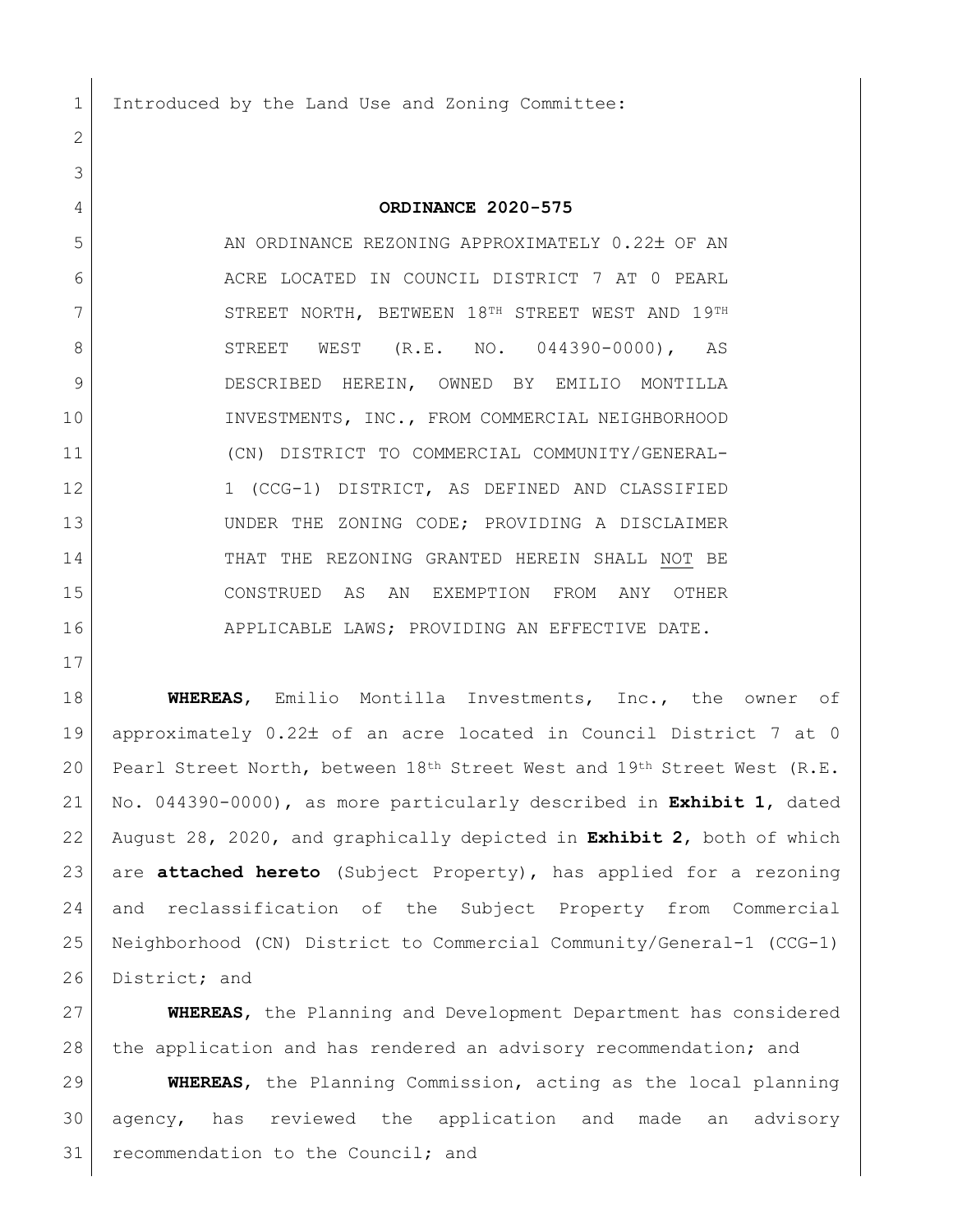1 Introduced by the Land Use and Zoning Committee:

## **ORDINANCE 2020-575**

5 AN ORDINANCE REZONING APPROXIMATELY 0.22± OF AN 6 ACRE LOCATED IN COUNCIL DISTRICT 7 AT 0 PEARL 7 STREET NORTH, BETWEEN 18TH STREET WEST AND 19TH 8 STREET WEST (R.E. NO. 044390-0000), AS DESCRIBED HEREIN, OWNED BY EMILIO MONTILLA 10 INVESTMENTS, INC., FROM COMMERCIAL NEIGHBORHOOD (CN) DISTRICT TO COMMERCIAL COMMUNITY/GENERAL-12 | (CCG-1) DISTRICT, AS DEFINED AND CLASSIFIED UNDER THE ZONING CODE; PROVIDING A DISCLAIMER THAT THE REZONING GRANTED HEREIN SHALL NOT BE CONSTRUED AS AN EXEMPTION FROM ANY OTHER APPLICABLE LAWS; PROVIDING AN EFFECTIVE DATE.

 **WHEREAS**, Emilio Montilla Investments, Inc., the owner of approximately 0.22 of an acre located in Council District 7 at 0 20 Pearl Street North, between  $18<sup>th</sup>$  Street and  $19<sup>th</sup>$  Street West (R.E. No. 044390-0000), as more particularly described in **Exhibit 1**, dated August 28, 2020, and graphically depicted in **Exhibit 2**, both of which are **attached hereto** (Subject Property), has applied for a rezoning and reclassification of the Subject Property from Commercial Neighborhood (CN) District to Commercial Community/General-1 (CCG-1) 26 District; and

 **WHEREAS**, the Planning and Development Department has considered 28 the application and has rendered an advisory recommendation; and

 **WHEREAS**, the Planning Commission, acting as the local planning agency, has reviewed the application and made an advisory 31 | recommendation to the Council; and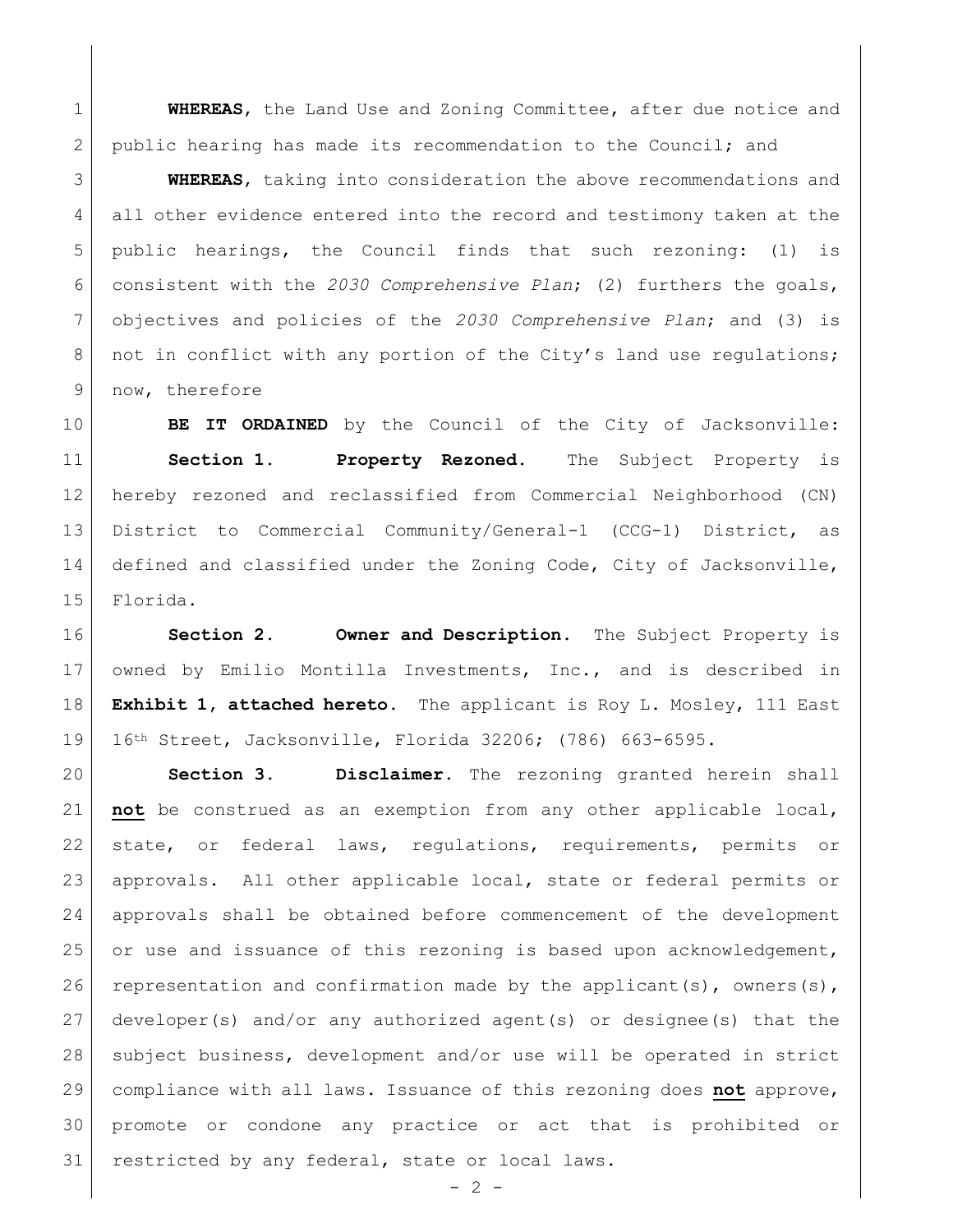**WHEREAS**, the Land Use and Zoning Committee, after due notice and 2 public hearing has made its recommendation to the Council; and

 **WHEREAS**, taking into consideration the above recommendations and all other evidence entered into the record and testimony taken at the public hearings, the Council finds that such rezoning: (1) is consistent with the *2030 Comprehensive Plan*; (2) furthers the goals, objectives and policies of the *2030 Comprehensive Plan*; and (3) is 8 | not in conflict with any portion of the City's land use regulations; 9 now, therefore

 **BE IT ORDAINED** by the Council of the City of Jacksonville: **Section 1. Property Rezoned.** The Subject Property is hereby rezoned and reclassified from Commercial Neighborhood (CN) District to Commercial Community/General-1 (CCG-1) District, as 14 defined and classified under the Zoning Code, City of Jacksonville, Florida.

 **Section 2. Owner and Description.** The Subject Property is owned by Emilio Montilla Investments, Inc., and is described in **Exhibit 1, attached hereto.** The applicant is Roy L. Mosley, 111 East 16th Street, Jacksonville, Florida 32206; (786) 663-6595.

 **Section 3. Disclaimer.** The rezoning granted herein shall **not** be construed as an exemption from any other applicable local, state, or federal laws, regulations, requirements, permits or approvals. All other applicable local, state or federal permits or approvals shall be obtained before commencement of the development 25 or use and issuance of this rezoning is based upon acknowledgement, 26 representation and confirmation made by the applicant(s), owners(s), developer(s) and/or any authorized agent(s) or designee(s) that the subject business, development and/or use will be operated in strict compliance with all laws. Issuance of this rezoning does **not** approve, promote or condone any practice or act that is prohibited or 31 restricted by any federal, state or local laws.

 $-2 -$